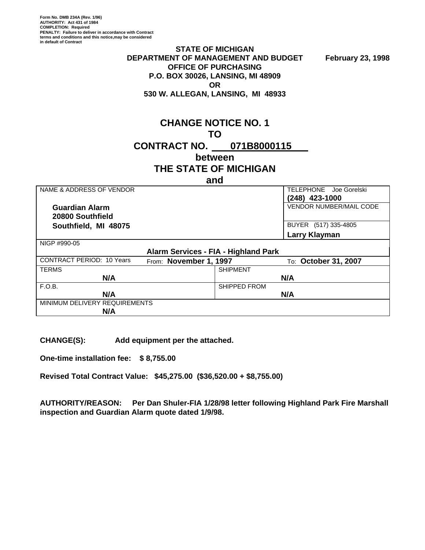**Form No. DMB 234A (Rev. 1/96) AUTHORITY: Act 431 of 1984 COMPLETION: Required PENALTY: Failure to deliver in accordance with Contract terms and conditions and this notice,may be considered in default of Contract**

#### **STATE OF MICHIGAN**  DEPARTMENT OF MANAGEMENT AND BUDGET February 23, 1998 **OFFICE OF PURCHASING P.O. BOX 30026, LANSING, MI 48909 OR** OF THE STATE OF THE STATE OF THE STATE OF THE STATE OF THE STATE OF THE STATE OF THE STATE OF THE STATE OF THE STATE OF THE STATE OF THE STATE OF THE STATE OF THE STATE OF THE STATE OF THE STATE OF THE STATE OF THE ST **530 W. ALLEGAN, LANSING, MI 48933**

|                                 | <b>CHANGE NOTICE NO. 1</b> |  |  |  |
|---------------------------------|----------------------------|--|--|--|
|                                 | TΩ                         |  |  |  |
| <b>CONTRACT NO. 071B8000115</b> |                            |  |  |  |
|                                 | between                    |  |  |  |

# **THE STATE OF MICHIGAN**

| and                                                        |                                |  |  |  |  |
|------------------------------------------------------------|--------------------------------|--|--|--|--|
| NAME & ADDRESS OF VENDOR                                   | TELEPHONE Joe Gorelski         |  |  |  |  |
|                                                            | (248) 423-1000                 |  |  |  |  |
| <b>Guardian Alarm</b>                                      | <b>VENDOR NUMBER/MAIL CODE</b> |  |  |  |  |
| 20800 Southfield                                           |                                |  |  |  |  |
| Southfield, MI 48075                                       | BUYER (517) 335-4805           |  |  |  |  |
|                                                            | <b>Larry Klayman</b>           |  |  |  |  |
| NIGP #990-05                                               |                                |  |  |  |  |
| Alarm Services - FIA - Highland Park                       |                                |  |  |  |  |
| <b>CONTRACT PERIOD: 10 Years</b><br>From: November 1, 1997 | To: October 31, 2007           |  |  |  |  |
| <b>TERMS</b>                                               | <b>SHIPMENT</b>                |  |  |  |  |
| N/A                                                        | N/A                            |  |  |  |  |
| F.O.B.                                                     | SHIPPED FROM                   |  |  |  |  |
| N/A                                                        | N/A                            |  |  |  |  |
| MINIMUM DELIVERY REQUIREMENTS                              |                                |  |  |  |  |
| N/A                                                        |                                |  |  |  |  |

**CHANGE(S): Add equipment per the attached.** 

**One-time installation fee: \$ 8,755.00** 

**Revised Total Contract Value: \$45,275.00 (\$36,520.00 + \$8,755.00)** 

**AUTHORITY/REASON: Per Dan Shuler-FIA 1/28/98 letter following Highland Park Fire Marshall inspection and Guardian Alarm quote dated 1/9/98.**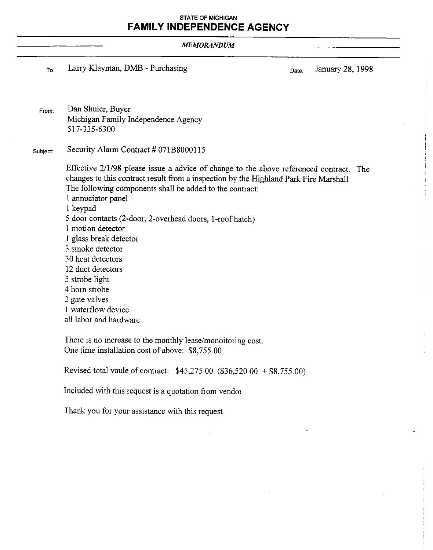#### **STATE OF MICHIGAN FAMILY INDEPENDENCE AGENCY**

#### **MEMORANDUM**

Larry Klayman, DMB - Purchasing To:

January 28, 1998 Date:

ż

Dan Shuler, Buyer From: Michigan Family Independence Agency 517-335-6300

Security Alarm Contract # 071B8000115 Subject:

> Effective 2/1/98 please issue a advice of change to the above referenced contract. The changes to this contract result from a inspection by the Highland Park Fire Marshall The following components shall be added to the contract:

- 1 annuciator panel
- 1 keypad
- 5 door contacts (2-door, 2-overhead doors, 1-roof hatch)
- 1 motion detector
- 1 glass break detector
- 3 smoke detector
- 30 heat detectors
- 12 duct detectors
- 5 strobe light
- 4 horn strobe
- 2 gate valves
- 1 waterflow device
- all labor and hardware

There is no increase to the monthly lease/monoitoring cost. One time installation cost of above: \$8,755.00

Revised total vaule of contract: \$45,275.00 (\$36,520.00 + \$8,755.00)

Included with this request is a quotation from vendor

Thank you for your assistance with this request.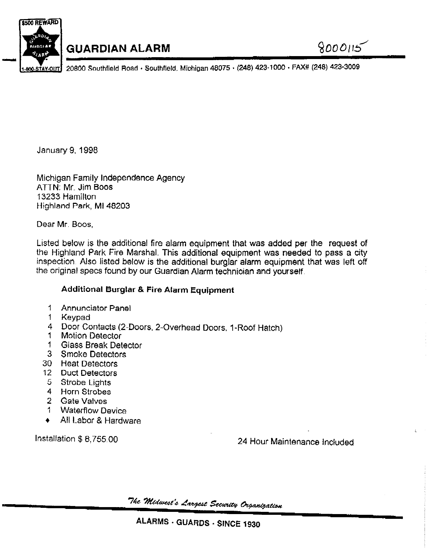

# **GUARDIAN ALARM**

20800 Southfield Road - Southfield, Michigan 48075 - (248) 423-1000 - FAX# (248) 423-3009

January 9, 1998

Michigan Family Independence Agency ATTN: Mr. Jim Boos 13233 Hamilton Highland Park, MI 48203

Dear Mr. Boos.

Listed below is the additional fire alarm equipment that was added per the request of the Highland Park Fire Marshal. This additional equipment was needed to pass a city inspection. Also listed below is the additional burglar alarm equipment that was left off the original specs found by our Guardian Alarm technician and yourself.

### **Additional Burglar & Fire Alarm Equipment**

- $1<sup>1</sup>$ **Annunciator Panel**
- $\uparrow$ Keypad
- 4 Door Contacts (2-Doors, 2-Overhead Doors, 1-Roof Hatch)
- **Motion Detector 1**
- $\mathbf{1}$ **Glass Break Detector**
- 3 Smoke Detectors
- 30 Heat Detectors
- 12 Duct Detectors
- **Strobe Lights** -5.
- 4 Horn Strobes
- 2 Gate Valves
- 1 Waterflow Device
- All Labor & Hardware  $\blacktriangle$

Installation \$8,755.00

24 Hour Maintenance Included

"The "Midwest's Largest Security Organization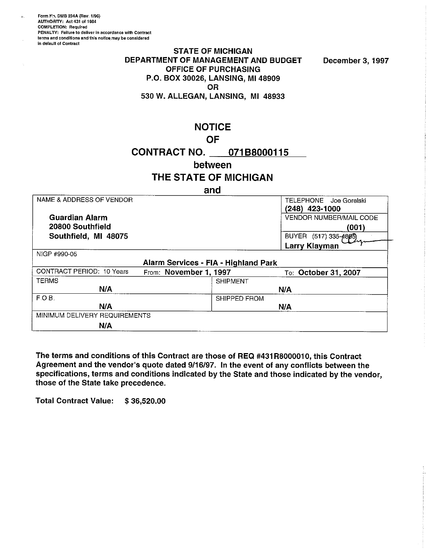Form No. DMB 234A (Rev. 1/96) AUTHORITY: Act 431 of 1984 **COMPLETION: Required** PENALTY: Failure to deliver in accordance with Contract terms and conditions and this notice, may be considered in default of Contract

#### **STATE OF MICHIGAN** DEPARTMENT OF MANAGEMENT AND BUDGET **OFFICE OF PURCHASING** P.O. BOX 30026, LANSING, MI 48909 **OR** 530 W. ALLEGAN, LANSING, MI 48933

December 3, 1997

**NOTICE** 

### **OF**

CONTRACT NO. 071B8000115

#### between

## THE STATE OF MICHIGAN

#### and

| NAME & ADDRESS OF VENDOR         |                                      |                 | <b>TELEPHONE</b><br>Joe Gorelski<br>(248) 423-1000 |
|----------------------------------|--------------------------------------|-----------------|----------------------------------------------------|
| <b>Guardian Alarm</b>            |                                      |                 | <b>VENDOR NUMBER/MAIL CODE</b>                     |
| 20800 Southfield                 |                                      |                 | (001)                                              |
| Southfield, MI 48075             |                                      |                 | BUYER (517) 335-4805)                              |
|                                  |                                      |                 | <b>Larry Klayman</b>                               |
| NIGP #990-05                     |                                      |                 |                                                    |
|                                  | Alarm Services - FIA - Highland Park |                 |                                                    |
| <b>CONTRACT PERIOD: 10 Years</b> | From: November 1, 1997               |                 | To: October 31, 2007                               |
| <b>TERMS</b>                     |                                      | <b>SHIPMENT</b> |                                                    |
| N/A                              |                                      |                 | N/A                                                |
| F.O.B.                           |                                      | SHIPPED FROM    |                                                    |
| N/A                              |                                      |                 | N/A                                                |
| MINIMUM DELIVERY REQUIREMENTS    |                                      |                 |                                                    |
| N/A                              |                                      |                 |                                                    |

The terms and conditions of this Contract are those of REQ #431R8000010, this Contract Agreement and the vendor's quote dated 9/16/97. In the event of any conflicts between the specifications, terms and conditions indicated by the State and those indicated by the vendor, those of the State take precedence.

**Total Contract Value:** \$36,520.00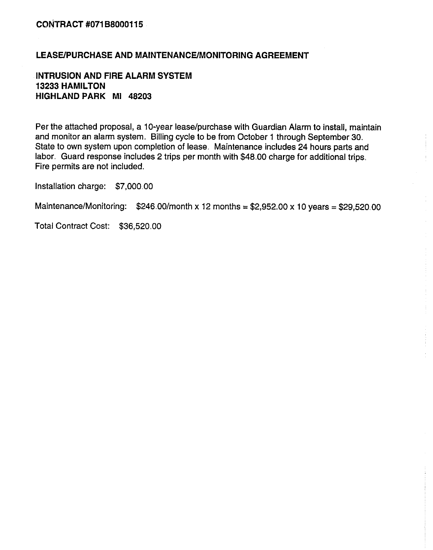### LEASE/PURCHASE AND MAINTENANCE/MONITORING AGREEMENT

**INTRUSION AND FIRE ALARM SYSTEM 13233 HAMILTON** HIGHLAND PARK MI 48203

Per the attached proposal, a 10-year lease/purchase with Guardian Alarm to install, maintain and monitor an alarm system. Billing cycle to be from October 1 through September 30. State to own system upon completion of lease. Maintenance includes 24 hours parts and labor. Guard response includes 2 trips per month with \$48.00 charge for additional trips. Fire permits are not included.

Installation charge: \$7,000.00

Maintenance/Monitoring:  $$246.00/m$ onth x 12 months = \$2,952.00 x 10 years = \$29,520.00

Total Contract Cost: \$36,520.00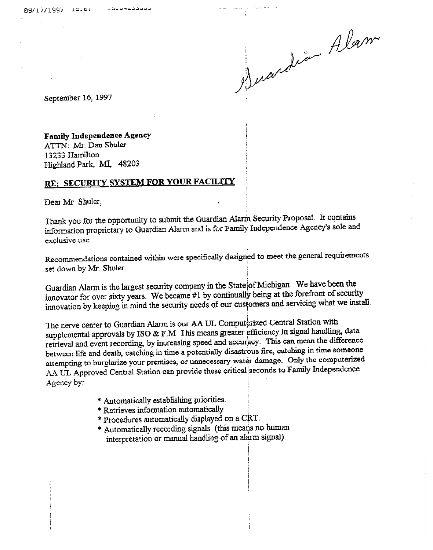Duardie Alam

September 16, 1997

### **Family Independence Agency**

ATTN: Mr. Dan Shuler 13233 Hamilton Highland Park, MI, 48203

# RE: SECURITY SYSTEM FOR YOUR FACILITY

Dear Mr. Shuler,

Thank you for the opportunity to submit the Guardian Alarm Security Proposal. It contains information proprietary to Guardian Alarm and is for Family Independence Agency's sole and exclusive use.

Recommendations contained within were specifically designed to meet the general requirements set down by Mr. Shuler.

Guardian Alarm is the largest security company in the State of Michigan. We have been the innovator for over sixty years. We became #1 by continually being at the forefront of security innovation by keeping in mind the security needs of our customers and servicing what we install

The nerve center to Guardian Alarm is our AA UL Computerized Central Station with supplemental approvals by ISO & F.M. This means greater efficiency in signal handling, data retrieval and event recording, by increasing speed and accuracy. This can mean the difference between life and death, catching in time a potentially disastrous fire, catching in time someone attempting to burglarize your premises, or unnecessary water damage. Only the computerized AA UL Approved Central Station can provide these critical seconds to Family Independence Agency by:

- \* Automatically establishing priorities.
- \* Retrieves information automatically
- \* Procedures automatically displayed on a CRT.
- \* Automatically recording signals (this means no human interpretation or manual handling of an alarm signal).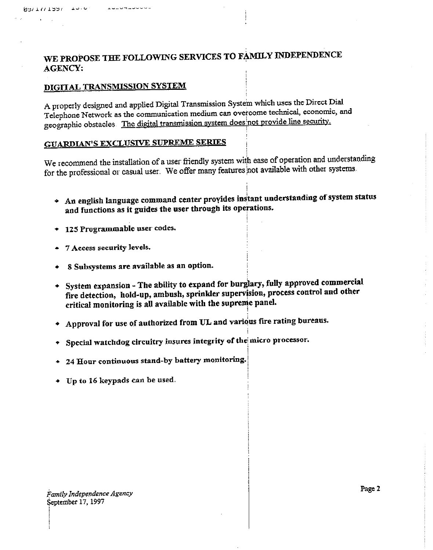# WE PROPOSE THE FOLLOWING SERVICES TO FAMILY INDEPENDENCE **AGENCY:**

### DIGITAL TRANSMISSION SYSTEM

A properly designed and applied Digital Transmission System which uses the Direct Dial Telephone Network as the communication medium can overcome technical, economic, and geographic obstacles. The digital transmission system does not provide line security.

### **GUARDIAN'S EXCLUSIVE SUPREME SERIES**

We recommend the installation of a user friendly system with ease of operation and understanding for the professional or casual user. We offer many features not available with other systems.

- An english language command center provides instant understanding of system status and functions as it guides the user through its operations.
- 125 Programmable user codes.  $\bullet$
- 7 Access security levels.
- 8 Subsystems are available as an option.
- + System expansion The ability to expand for burglary, fully approved commercial fire detection, hold-up, ambush, sprinkler supervision, process control and other critical monitoring is all available with the supreme panel.
- Approval for use of authorized from UL and various fire rating bureaus.
- \* Special watchdog circuitry insures integrity of the micro processor.
- + 24 Hour continuous stand-by battery monitoring.
- Up to 16 keypads can be used.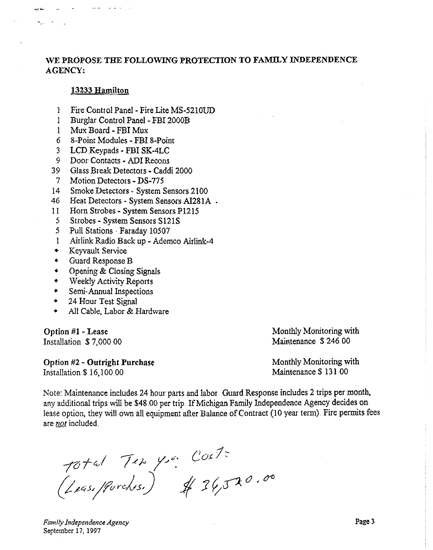### WE PROPOSE THE FOLLOWING PROTECTION TO FAMILY INDEPENDENCE **AGENCY:**

#### 13233 Hamilton

- $\mathbf{I}$ Fire Control Panel - Fire Lite MS-5210UD
- $\mathbf{I}$ Burglar Control Panel - FBI 2000B
- Mux Board FBI Mux  $\mathbf{1}$
- $6<sup>1</sup>$ 8-Point Modules - FBI 8-Point
- $\overline{3}$ LCD Keypads - FBI SK-4LC
- 9 Door Contacts ADI Recons
- 39 Glass Break Detectors - Caddi 2000
- $7<sup>1</sup>$ Motion Detectors - DS-775
- Smoke Detectors System Sensors 2100  $14<sup>1</sup>$
- 46 Heat Detectors - System Sensors AI281A .
- Horn Strobes System Sensors P1215  $11$
- $5<sup>1</sup>$ Strobes - System Sensors S121S
- $5<sup>1</sup>$ Pull Stations · Faraday 10507
- Airlink Radio Back up Ademco Airlink-4  $\mathbf{1}$
- $\ddot{\bullet}$ Keyvault Service
- $\ddot{\bullet}$ Guard Response B
- $\ddot{\bullet}$ Opening & Closing Signals
- Weekly Activity Reports  $\bullet$
- Semi-Annual Inspections  $\bullet$
- 24 Hour Test Signal
- $\ddot{\bullet}$ All Cable, Labor & Hardware

Option #1 - Lease Installation \$7,000.00

**Option #2 - Outright Purchase** Installation \$16,100.00

Monthly Monitoring with Maintenance \$246.00

Monthly Monitoring with Maintenance \$131.00

Note: Maintenance includes 24 hour parts and labor. Guard Response includes 2 trips per month, any additional trips will be \$48.00 per trip. If Michigan Family Independence Agency decides on lease option, they will own all equipment after Balance of Contract (10 year term) Fire permits fees are not included.

Total Ten you Cost:<br>(Leasifforches.) \$ 36,520.00

Family Independence Agency September 17, 1997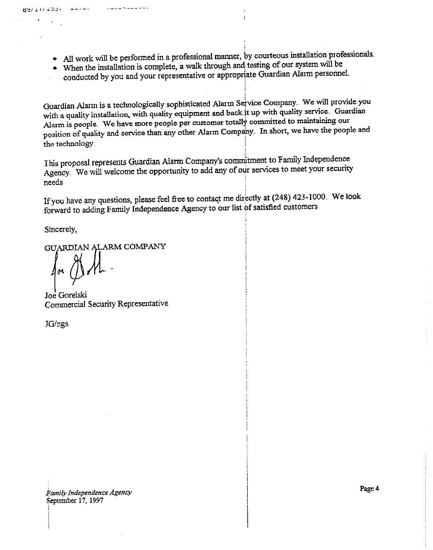- All work will be performed in a professional manner, by courteous installation professionals.
- When the installation is complete, a walk through and testing of our system will be
- conducted by you and your representative or appropriate Guardian Alarm personnel.

Guardian Alarm is a technologically sophisticated Alarm Service Company. We will provide you with a quality installation, with quality equipment and back it up with quality service. Guardian Alarm is people. We have more people per customer totally committed to maintaining our position of quality and service than any other Alarm Company. In short, we have the people and the technology

This proposal represents Guardian Alarm Company's commitment to Family Independence Agency We will welcome the opportunity to add any of our services to meet your security needs.

If you have any questions, please feel free to contact me directly at (248) 423-1000. We look forward to adding Family Independence Agency to our list of satisfied customers

Sincerely,

 $M H / 1 / 1201$ 

واقته واقتباطه

GUARDIAN ALARM COMPANY

------------

Joe Gorelski Commercial Security Representative

JG/ngs

Family Independence Agency September 17, 1997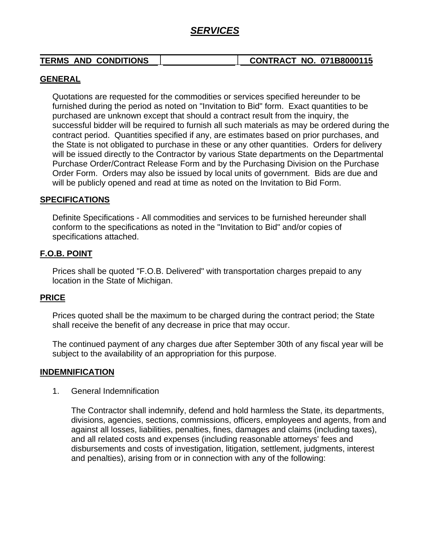# *SERVICES*

| <b>TERMS AND CONDITIONS</b> | <b>CONTRACT NO. 071B8000115</b> |  |
|-----------------------------|---------------------------------|--|

### **GENERAL**

Quotations are requested for the commodities or services specified hereunder to be furnished during the period as noted on "Invitation to Bid" form. Exact quantities to be purchased are unknown except that should a contract result from the inquiry, the successful bidder will be required to furnish all such materials as may be ordered during the contract period. Quantities specified if any, are estimates based on prior purchases, and the State is not obligated to purchase in these or any other quantities. Orders for delivery will be issued directly to the Contractor by various State departments on the Departmental Purchase Order/Contract Release Form and by the Purchasing Division on the Purchase Order Form. Orders may also be issued by local units of government. Bids are due and will be publicly opened and read at time as noted on the Invitation to Bid Form.

### **SPECIFICATIONS**

Definite Specifications - All commodities and services to be furnished hereunder shall conform to the specifications as noted in the "Invitation to Bid" and/or copies of specifications attached.

### **F.O.B. POINT**

Prices shall be quoted "F.O.B. Delivered" with transportation charges prepaid to any location in the State of Michigan.

### **PRICE**

Prices quoted shall be the maximum to be charged during the contract period; the State shall receive the benefit of any decrease in price that may occur.

The continued payment of any charges due after September 30th of any fiscal year will be subject to the availability of an appropriation for this purpose.

### **INDEMNIFICATION**

1. General Indemnification

The Contractor shall indemnify, defend and hold harmless the State, its departments, divisions, agencies, sections, commissions, officers, employees and agents, from and against all losses, liabilities, penalties, fines, damages and claims (including taxes), and all related costs and expenses (including reasonable attorneys' fees and disbursements and costs of investigation, litigation, settlement, judgments, interest and penalties), arising from or in connection with any of the following: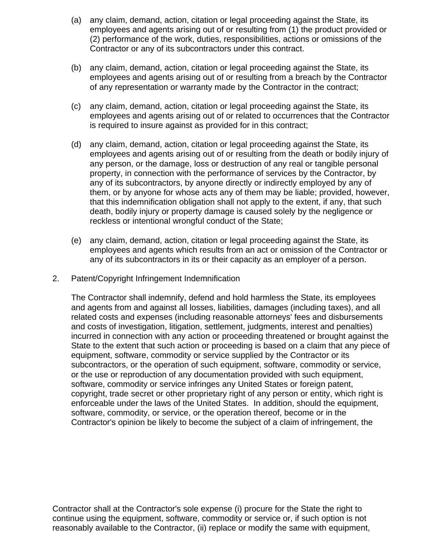- (a) any claim, demand, action, citation or legal proceeding against the State, its employees and agents arising out of or resulting from (1) the product provided or (2) performance of the work, duties, responsibilities, actions or omissions of the Contractor or any of its subcontractors under this contract.
- (b) any claim, demand, action, citation or legal proceeding against the State, its employees and agents arising out of or resulting from a breach by the Contractor of any representation or warranty made by the Contractor in the contract;
- (c) any claim, demand, action, citation or legal proceeding against the State, its employees and agents arising out of or related to occurrences that the Contractor is required to insure against as provided for in this contract;
- (d) any claim, demand, action, citation or legal proceeding against the State, its employees and agents arising out of or resulting from the death or bodily injury of any person, or the damage, loss or destruction of any real or tangible personal property, in connection with the performance of services by the Contractor, by any of its subcontractors, by anyone directly or indirectly employed by any of them, or by anyone for whose acts any of them may be liable; provided, however, that this indemnification obligation shall not apply to the extent, if any, that such death, bodily injury or property damage is caused solely by the negligence or reckless or intentional wrongful conduct of the State;
- (e) any claim, demand, action, citation or legal proceeding against the State, its employees and agents which results from an act or omission of the Contractor or any of its subcontractors in its or their capacity as an employer of a person.
- 2. Patent/Copyright Infringement Indemnification

The Contractor shall indemnify, defend and hold harmless the State, its employees and agents from and against all losses, liabilities, damages (including taxes), and all related costs and expenses (including reasonable attorneys' fees and disbursements and costs of investigation, litigation, settlement, judgments, interest and penalties) incurred in connection with any action or proceeding threatened or brought against the State to the extent that such action or proceeding is based on a claim that any piece of equipment, software, commodity or service supplied by the Contractor or its subcontractors, or the operation of such equipment, software, commodity or service, or the use or reproduction of any documentation provided with such equipment, software, commodity or service infringes any United States or foreign patent, copyright, trade secret or other proprietary right of any person or entity, which right is enforceable under the laws of the United States. In addition, should the equipment, software, commodity, or service, or the operation thereof, become or in the Contractor's opinion be likely to become the subject of a claim of infringement, the

Contractor shall at the Contractor's sole expense (i) procure for the State the right to continue using the equipment, software, commodity or service or, if such option is not reasonably available to the Contractor, (ii) replace or modify the same with equipment,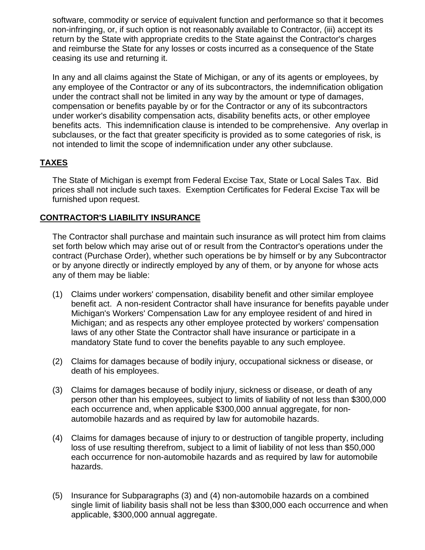software, commodity or service of equivalent function and performance so that it becomes non-infringing, or, if such option is not reasonably available to Contractor, (iii) accept its return by the State with appropriate credits to the State against the Contractor's charges and reimburse the State for any losses or costs incurred as a consequence of the State ceasing its use and returning it.

In any and all claims against the State of Michigan, or any of its agents or employees, by any employee of the Contractor or any of its subcontractors, the indemnification obligation under the contract shall not be limited in any way by the amount or type of damages, compensation or benefits payable by or for the Contractor or any of its subcontractors under worker's disability compensation acts, disability benefits acts, or other employee benefits acts. This indemnification clause is intended to be comprehensive. Any overlap in subclauses, or the fact that greater specificity is provided as to some categories of risk, is not intended to limit the scope of indemnification under any other subclause.

## **TAXES**

The State of Michigan is exempt from Federal Excise Tax, State or Local Sales Tax. Bid prices shall not include such taxes. Exemption Certificates for Federal Excise Tax will be furnished upon request.

### **CONTRACTOR'S LIABILITY INSURANCE**

The Contractor shall purchase and maintain such insurance as will protect him from claims set forth below which may arise out of or result from the Contractor's operations under the contract (Purchase Order), whether such operations be by himself or by any Subcontractor or by anyone directly or indirectly employed by any of them, or by anyone for whose acts any of them may be liable:

- (1) Claims under workers' compensation, disability benefit and other similar employee benefit act. A non-resident Contractor shall have insurance for benefits payable under Michigan's Workers' Compensation Law for any employee resident of and hired in Michigan; and as respects any other employee protected by workers' compensation laws of any other State the Contractor shall have insurance or participate in a mandatory State fund to cover the benefits payable to any such employee.
- (2) Claims for damages because of bodily injury, occupational sickness or disease, or death of his employees.
- (3) Claims for damages because of bodily injury, sickness or disease, or death of any person other than his employees, subject to limits of liability of not less than \$300,000 each occurrence and, when applicable \$300,000 annual aggregate, for nonautomobile hazards and as required by law for automobile hazards.
- (4) Claims for damages because of injury to or destruction of tangible property, including loss of use resulting therefrom, subject to a limit of liability of not less than \$50,000 each occurrence for non-automobile hazards and as required by law for automobile hazards.
- (5) Insurance for Subparagraphs (3) and (4) non-automobile hazards on a combined single limit of liability basis shall not be less than \$300,000 each occurrence and when applicable, \$300,000 annual aggregate.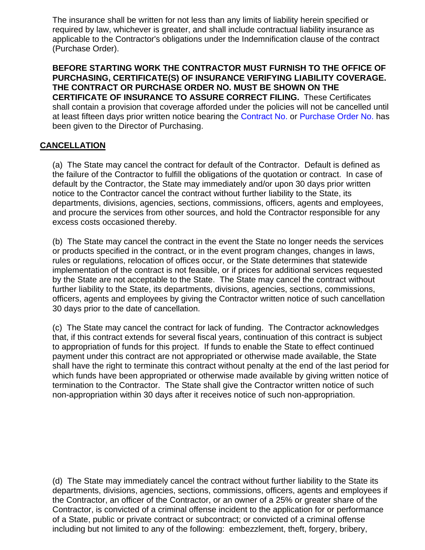The insurance shall be written for not less than any limits of liability herein specified or required by law, whichever is greater, and shall include contractual liability insurance as applicable to the Contractor's obligations under the Indemnification clause of the contract (Purchase Order).

**BEFORE STARTING WORK THE CONTRACTOR MUST FURNISH TO THE OFFICE OF PURCHASING, CERTIFICATE(S) OF INSURANCE VERIFYING LIABILITY COVERAGE. THE CONTRACT OR PURCHASE ORDER NO. MUST BE SHOWN ON THE CERTIFICATE OF INSURANCE TO ASSURE CORRECT FILING.** These Certificates shall contain a provision that coverage afforded under the policies will not be cancelled until at least fifteen days prior written notice bearing the Contract No. or Purchase Order No. has been given to the Director of Purchasing.

### **CANCELLATION**

(a) The State may cancel the contract for default of the Contractor. Default is defined as the failure of the Contractor to fulfill the obligations of the quotation or contract. In case of default by the Contractor, the State may immediately and/or upon 30 days prior written notice to the Contractor cancel the contract without further liability to the State, its departments, divisions, agencies, sections, commissions, officers, agents and employees, and procure the services from other sources, and hold the Contractor responsible for any excess costs occasioned thereby.

(b) The State may cancel the contract in the event the State no longer needs the services or products specified in the contract, or in the event program changes, changes in laws, rules or regulations, relocation of offices occur, or the State determines that statewide implementation of the contract is not feasible, or if prices for additional services requested by the State are not acceptable to the State. The State may cancel the contract without further liability to the State, its departments, divisions, agencies, sections, commissions, officers, agents and employees by giving the Contractor written notice of such cancellation 30 days prior to the date of cancellation.

(c) The State may cancel the contract for lack of funding. The Contractor acknowledges that, if this contract extends for several fiscal years, continuation of this contract is subject to appropriation of funds for this project. If funds to enable the State to effect continued payment under this contract are not appropriated or otherwise made available, the State shall have the right to terminate this contract without penalty at the end of the last period for which funds have been appropriated or otherwise made available by giving written notice of termination to the Contractor. The State shall give the Contractor written notice of such non-appropriation within 30 days after it receives notice of such non-appropriation.

(d) The State may immediately cancel the contract without further liability to the State its departments, divisions, agencies, sections, commissions, officers, agents and employees if the Contractor, an officer of the Contractor, or an owner of a 25% or greater share of the Contractor, is convicted of a criminal offense incident to the application for or performance of a State, public or private contract or subcontract; or convicted of a criminal offense including but not limited to any of the following: embezzlement, theft, forgery, bribery,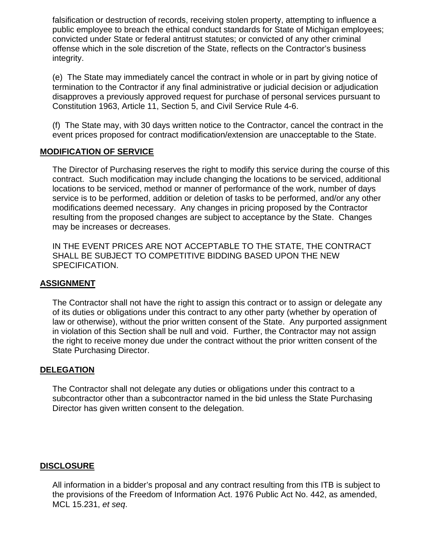falsification or destruction of records, receiving stolen property, attempting to influence a public employee to breach the ethical conduct standards for State of Michigan employees; convicted under State or federal antitrust statutes; or convicted of any other criminal offense which in the sole discretion of the State, reflects on the Contractor's business integrity.

(e) The State may immediately cancel the contract in whole or in part by giving notice of termination to the Contractor if any final administrative or judicial decision or adjudication disapproves a previously approved request for purchase of personal services pursuant to Constitution 1963, Article 11, Section 5, and Civil Service Rule 4-6.

(f) The State may, with 30 days written notice to the Contractor, cancel the contract in the event prices proposed for contract modification/extension are unacceptable to the State.

### **MODIFICATION OF SERVICE**

The Director of Purchasing reserves the right to modify this service during the course of this contract. Such modification may include changing the locations to be serviced, additional locations to be serviced, method or manner of performance of the work, number of days service is to be performed, addition or deletion of tasks to be performed, and/or any other modifications deemed necessary. Any changes in pricing proposed by the Contractor resulting from the proposed changes are subject to acceptance by the State. Changes may be increases or decreases.

IN THE EVENT PRICES ARE NOT ACCEPTABLE TO THE STATE, THE CONTRACT SHALL BE SUBJECT TO COMPETITIVE BIDDING BASED UPON THE NEW SPECIFICATION.

### **ASSIGNMENT**

The Contractor shall not have the right to assign this contract or to assign or delegate any of its duties or obligations under this contract to any other party (whether by operation of law or otherwise), without the prior written consent of the State. Any purported assignment in violation of this Section shall be null and void. Further, the Contractor may not assign the right to receive money due under the contract without the prior written consent of the State Purchasing Director.

### **DELEGATION**

The Contractor shall not delegate any duties or obligations under this contract to a subcontractor other than a subcontractor named in the bid unless the State Purchasing Director has given written consent to the delegation.

### **DISCLOSURE**

All information in a bidder's proposal and any contract resulting from this ITB is subject to the provisions of the Freedom of Information Act. 1976 Public Act No. 442, as amended, MCL 15.231, *et seq*.